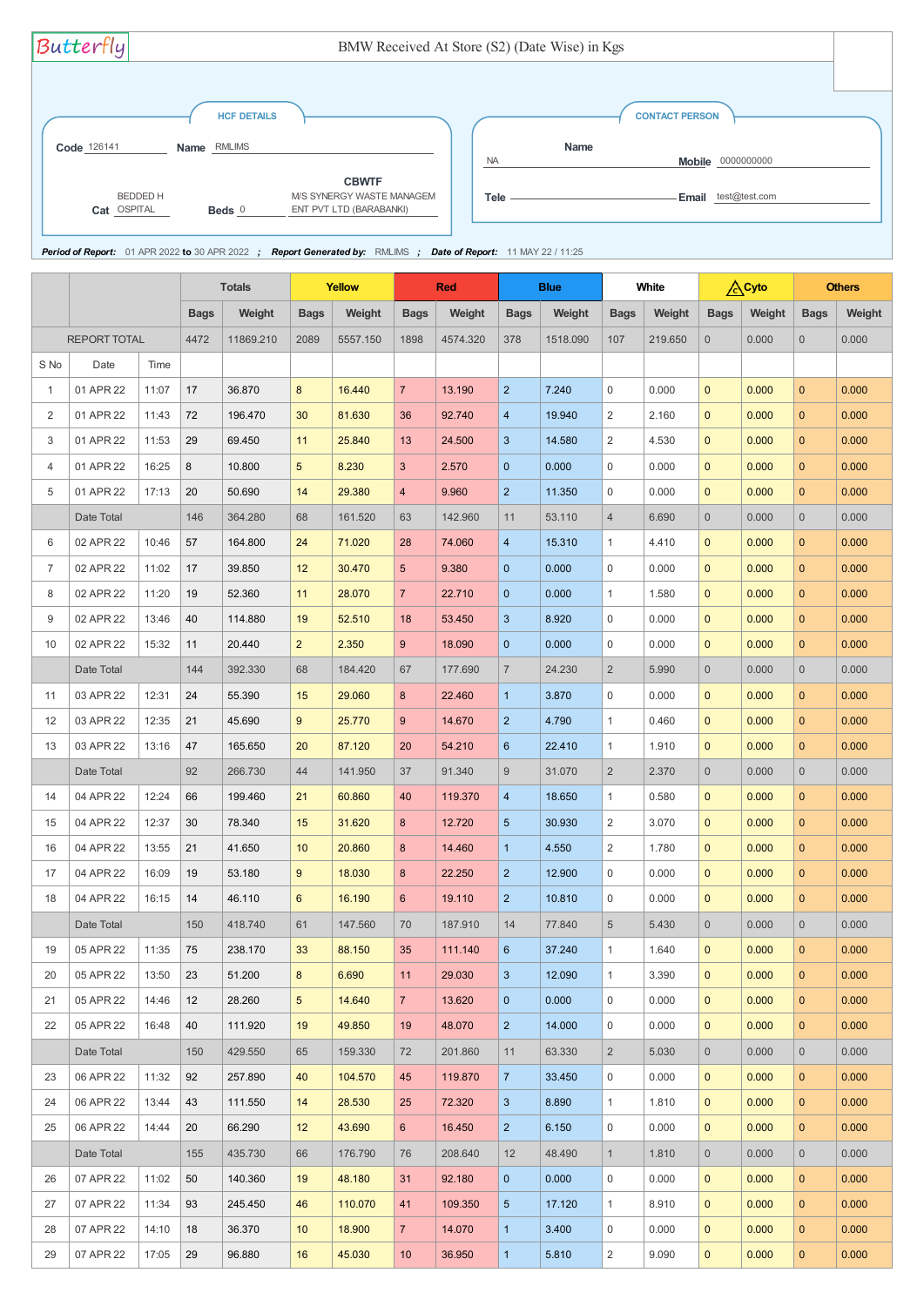|      |                     |       |             | <b>Totals</b> | <b>Yellow</b>   |          |                 | <b>Red</b> |                | <b>Blue</b> |                | <b>White</b> |                  | <b>A</b> Cyto |                | <b>Others</b> |
|------|---------------------|-------|-------------|---------------|-----------------|----------|-----------------|------------|----------------|-------------|----------------|--------------|------------------|---------------|----------------|---------------|
|      |                     |       | <b>Bags</b> | Weight        | <b>Bags</b>     | Weight   | <b>Bags</b>     | Weight     | <b>Bags</b>    | Weight      | <b>Bags</b>    | Weight       | <b>Bags</b>      | Weight        | <b>Bags</b>    | Weight        |
|      | <b>REPORT TOTAL</b> |       | 4472        | 11869.210     | 2089            | 5557.150 | 1898            | 4574.320   | 378            | 1518.090    | 107            | 219.650      | $\boldsymbol{0}$ | 0.000         | $\overline{0}$ | 0.000         |
| S No | Date                | Time  |             |               |                 |          |                 |            |                |             |                |              |                  |               |                |               |
| -1   | 01 APR 22           | 11:07 | 17          | 36.870        | 8               | 16.440   | $\overline{7}$  | 13.190     | $\overline{2}$ | 7.240       | $\overline{0}$ | 0.000        | $\mathbf{0}$     | 0.000         | $\overline{0}$ | 0.000         |
| 2    | 01 APR 22           | 11:43 | 72          | 196.470       | 30              | 81.630   | 36              | 92.740     | $\overline{4}$ | 19.940      | $\overline{2}$ | 2.160        | $\mathbf{0}$     | 0.000         | $\mathbf{0}$   | 0.000         |
| 3    | 01 APR 22           | 11:53 | 29          | 69.450        | 11              | 25.840   | 13              | 24.500     | 3              | 14.580      | $\overline{2}$ | 4.530        | $\mathbf 0$      | 0.000         | $\mathbf{0}$   | 0.000         |
| 4    | 01 APR 22           | 16:25 | 8           | 10.800        | 5               | 8.230    | 3 <sup>2</sup>  | 2.570      | $\mathbf{0}$   | 0.000       | $\mathbf 0$    | 0.000        | $\mathbf{0}$     | 0.000         | $\overline{0}$ | 0.000         |
| 5    | 01 APR 22           | 17:13 | 20          | 50.690        | 14              | 29.380   | $\overline{4}$  | 9.960      | 2 <sup>2</sup> | 11.350      | $\mathbf 0$    | 0.000        | $\mathbf{0}$     | 0.000         | $\mathbf{0}$   | 0.000         |
|      | Date Total          |       | 146         | 364.280       | 68              | 161.520  | 63              | 142.960    | 11             | 53.110      | $\overline{4}$ | 6.690        | $\overline{0}$   | 0.000         | $\overline{0}$ | 0.000         |
| 6    | 02 APR 22           | 10:46 | 57          | 164.800       | 24              | 71.020   | 28              | 74.060     | $\overline{4}$ | 15.310      | 1              | 4.410        | $\mathbf{0}$     | 0.000         | $\overline{0}$ | 0.000         |
| 7    | 02 APR 22           | 11:02 | 17          | 39.850        | 12              | 30.470   | 5 <sup>5</sup>  | 9.380      | $\mathbf{0}$   | 0.000       | $\mathbf 0$    | 0.000        | $\mathbf{0}$     | 0.000         | $\overline{0}$ | 0.000         |
| 8    | 02 APR 22           | 11:20 | 19          | 52.360        | 11              | 28.070   | 7 <sup>1</sup>  | 22.710     | $\mathbf{0}$   | 0.000       | $\mathbf{1}$   | 1.580        | $\mathbf{0}$     | 0.000         | $\mathbf{0}$   | 0.000         |
| 9    | 02 APR 22           | 13:46 | 40          | 114.880       | 19              | 52.510   | 18              | 53.450     | $\mathbf{3}$   | 8.920       | $\mathbf 0$    | 0.000        | $\mathbf{0}$     | 0.000         | $\mathbf{0}$   | 0.000         |
| 10   | 02 APR 22           | 15:32 | 11          | 20.440        | 2 <sup>2</sup>  | 2.350    | 9               | 18.090     | $\mathbf{0}$   | 0.000       | $\mathbf 0$    | 0.000        | $\mathbf{0}$     | 0.000         | $\mathbf{0}$   | 0.000         |
|      | Date Total          |       | 144         | 392.330       | 68              | 184.420  | 67              | 177.690    | $\overline{7}$ | 24.230      | $\overline{2}$ | 5.990        | $\boldsymbol{0}$ | 0.000         | $\overline{0}$ | 0.000         |
| 11   | 03 APR 22           | 12:31 | 24          | 55.390        | 15              | 29.060   | 8               | 22.460     | $\mathbf{1}$   | 3.870       | $\mathbf 0$    | 0.000        | $\mathbf{0}$     | 0.000         | $\mathbf{0}$   | 0.000         |
| 12   | 03 APR 22           | 12:35 | 21          | 45.690        | 9               | 25.770   | $9^{\circ}$     | 14.670     | $\overline{2}$ | 4.790       | $\mathbf{1}$   | 0.460        | $\mathbf{0}$     | 0.000         | $\overline{0}$ | 0.000         |
| 13   | 03 APR 22           | 13:16 | 47          | 165.650       | 20              | 87.120   | 20              | 54.210     | 6              | 22.410      | 1              | 1.910        | $\mathbf{0}$     | 0.000         | $\overline{0}$ | 0.000         |
|      | Date Total          |       | 92          | 266.730       | 44              | 141.950  | 37              | 91.340     | 9              | 31.070      | $\overline{2}$ | 2.370        | $\theta$         | 0.000         | $\overline{0}$ | 0.000         |
| 14   | 04 APR 22           | 12:24 | 66          | 199.460       | 21              | 60.860   | 40              | 119.370    | $\overline{4}$ | 18.650      | $\mathbf{1}$   | 0.580        | $\mathbf{0}$     | 0.000         | $\mathbf{0}$   | 0.000         |
| 15   | 04 APR 22           | 12:37 | 30          | 78.340        | 15              | 31.620   | 8               | 12.720     | $\overline{5}$ | 30.930      | $\overline{2}$ | 3.070        | $\overline{0}$   | 0.000         | $\mathbf{0}$   | 0.000         |
| 16   | 04 APR 22           | 13:55 | 21          | 41.650        | 10 <sup>°</sup> | 20.860   | 8               | 14.460     | $\overline{1}$ | 4.550       | $\overline{2}$ | 1.780        | $\overline{0}$   | 0.000         | $\overline{0}$ | 0.000         |
| 17   | 04 APR 22           | 16:09 | 19          | 53.180        | 9               | 18.030   | 8               | 22.250     | $\overline{2}$ | 12.900      | $\overline{0}$ | 0.000        | $\mathbf 0$      | 0.000         | $\overline{0}$ | 0.000         |
| 18   | 04 APR 22           | 16:15 | 14          | 46.110        | 6               | 16.190   | $6^{\circ}$     | 19.110     | $\overline{2}$ | 10.810      | 0              | 0.000        | $\mathbf 0$      | 0.000         | $\mathbf{0}$   | 0.000         |
|      | Date Total          |       | 150         | 418.740       | 61              | 147.560  | 70              | 187.910    | 14             | 77.840      | 5              | 5.430        | $\overline{0}$   | 0.000         | $\overline{0}$ | 0.000         |
| 19   | 05 APR 22           | 11:35 | 75          | 238.170       | 33              | 88.150   | 35              | 111.140    | 6              | 37.240      | $\mathbf{1}$   | 1.640        | $\mathbf 0$      | 0.000         | $\overline{0}$ | 0.000         |
| 20   | 05 APR 22           | 13:50 | 23          | 51.200        | 8               | 6.690    | 11              | 29.030     | 3              | 12.090      | $\mathbf{1}$   | 3.390        | $\mathbf{0}$     | 0.000         | $\mathbf{0}$   | 0.000         |
| 21   | 05 APR 22           | 14:46 | 12          | 28.260        | 5               | 14.640   | 7 <sup>1</sup>  | 13.620     | $\mathbf{0}$   | 0.000       | $\overline{0}$ | 0.000        | $\mathbf{0}$     | 0.000         | $\mathbf{0}$   | 0.000         |
| 22   | 05 APR 22           | 16:48 | 40          | 111.920       | 19              | 49.850   | 19              | 48.070     | 2 <sup>2</sup> | 14.000      | $\mathbf 0$    | 0.000        | $\mathbf{0}$     | 0.000         | $\overline{0}$ | 0.000         |
|      | Date Total          |       | 150         | 429.550       | 65              | 159.330  | 72              | 201.860    | 11             | 63.330      | $\overline{2}$ | 5.030        | $\overline{0}$   | 0.000         | $\overline{0}$ | 0.000         |
| 23   | 06 APR 22           | 11:32 | 92          | 257.890       | 40              | 104.570  | 45              | 119.870    | $\overline{7}$ | 33.450      | $\mathbf 0$    | 0.000        | $\mathbf{0}$     | 0.000         | $\mathbf{0}$   | 0.000         |
| 24   | 06 APR 22           | 13:44 | 43          | 111.550       | 14              | 28.530   | 25              | 72.320     | 3              | 8.890       | $\mathbf{1}$   | 1.810        | $\mathbf{0}$     | 0.000         | $\mathbf{0}$   | 0.000         |
| 25   | 06 APR 22           | 14:44 | 20          | 66.290        | 12              | 43.690   | $6^{\circ}$     | 16.450     | 2 <sup>2</sup> | 6.150       | $\mathbf 0$    | 0.000        | $\mathbf{0}$     | 0.000         | $\mathbf{0}$   | 0.000         |
|      | Date Total          |       | 155         | 435.730       | 66              | 176.790  | 76              | 208.640    | 12             | 48.490      | $\mathbf{1}$   | 1.810        | $\overline{0}$   | 0.000         | $\overline{0}$ | 0.000         |
| 26   | 07 APR 22           | 11:02 | 50          | 140.360       | 19              | 48.180   | 31              | 92.180     | $\mathbf{0}$   | 0.000       | $\mathbf 0$    | 0.000        | $\mathbf{0}$     | 0.000         | $\mathbf{0}$   | 0.000         |
| 27   | 07 APR 22           | 11:34 | 93          | 245.450       | 46              | 110.070  | 41              | 109.350    | $\overline{5}$ | 17.120      | $\mathbf{1}$   | 8.910        | $\mathbf{0}$     | 0.000         | $\mathbf{0}$   | 0.000         |
| 28   | 07 APR 22           | 14:10 | 18          | 36.370        | 10 <sup>°</sup> | 18.900   | $\overline{7}$  | 14.070     | $\mathbf{1}$   | 3.400       | $\mathbf 0$    | 0.000        | $\mathbf{0}$     | 0.000         | $\mathbf{0}$   | 0.000         |
| 29   | 07 APR 22           | 17:05 | $\vert$ 29  | 96.880        | 16              | 45.030   | 10 <sup>°</sup> | 36.950     | $\mathbf{1}$   | 5.810       | 2              | 9.090        | $\mathbf{0}$     | 0.000         | $\mathbf{0}$   | 0.000         |

| Butterfly                      |                                   | BMW Received At Store (S2) (Date Wise) in Kgs                                                                  |           |                                      |                     |  |
|--------------------------------|-----------------------------------|----------------------------------------------------------------------------------------------------------------|-----------|--------------------------------------|---------------------|--|
| Code 126141                    | <b>HCF DETAILS</b><br>Name RMLIMS |                                                                                                                |           | <b>CONTACT PERSON</b><br><b>Name</b> |                     |  |
|                                |                                   |                                                                                                                | <b>NA</b> |                                      | Mobile 0000000000   |  |
| <b>BEDDED H</b><br>Cat OSPITAL | Beds $0$                          | <b>CBWTF</b><br>M/S SYNERGY WASTE MANAGEM<br>ENT PVT LTD (BARABANKI)                                           | Tele -    |                                      | Email test@test.com |  |
|                                |                                   | Period of Report: 01 APR 2022 to 30 APR 2022 ; Report Generated by: RMLIMS ; Date of Report: 11 MAY 22 / 11:25 |           |                                      |                     |  |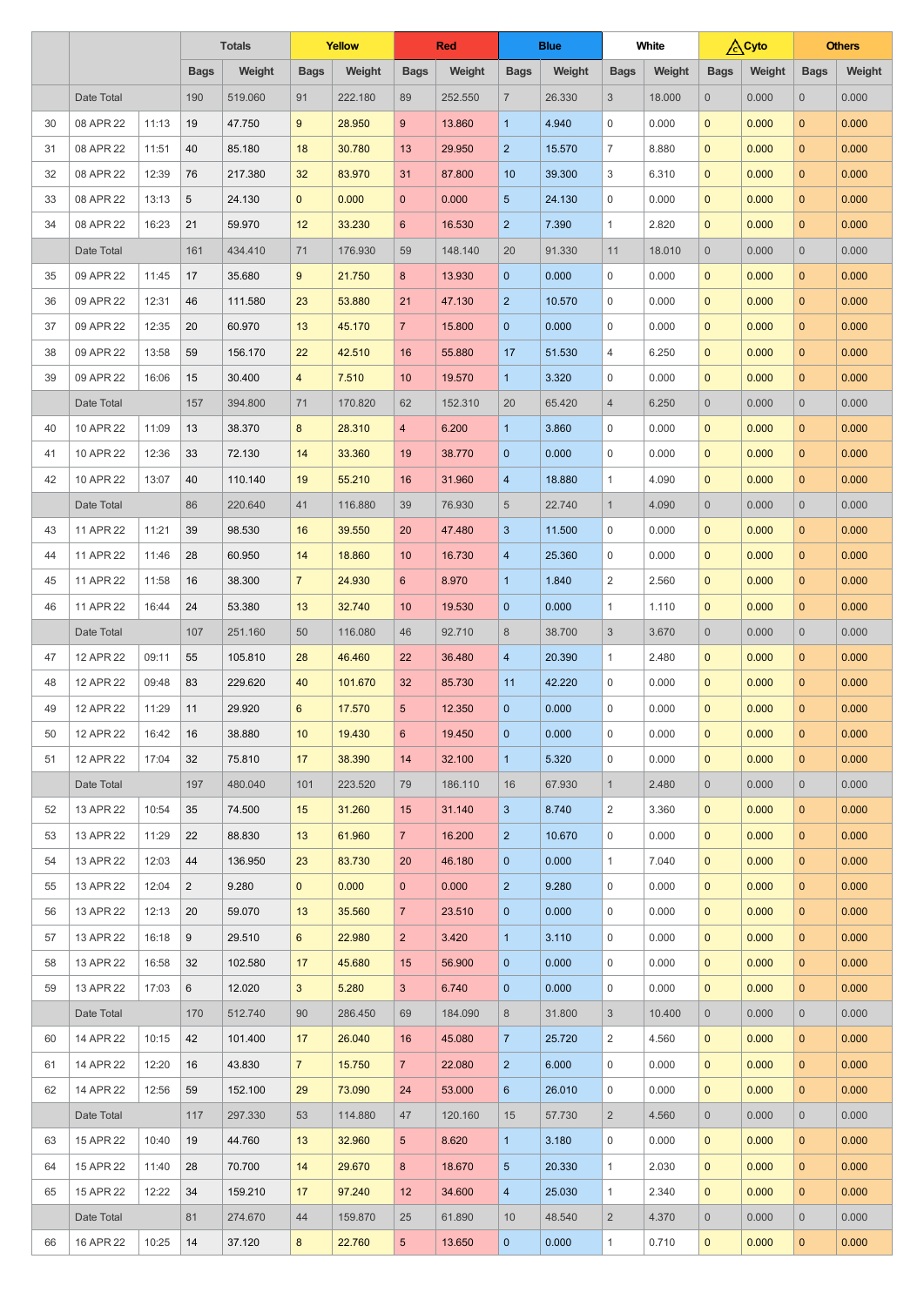|    |            |       |                | <b>Totals</b> | <b>Yellow</b>  |         |                 | <b>Red</b> |                | <b>Blue</b> |                | <b>White</b> |                | <b>A</b> Cyto |                | <b>Others</b> |
|----|------------|-------|----------------|---------------|----------------|---------|-----------------|------------|----------------|-------------|----------------|--------------|----------------|---------------|----------------|---------------|
|    |            |       | <b>Bags</b>    | Weight        | <b>Bags</b>    | Weight  | <b>Bags</b>     | Weight     | <b>Bags</b>    | Weight      | <b>Bags</b>    | Weight       | <b>Bags</b>    | Weight        | <b>Bags</b>    | Weight        |
|    | Date Total |       | 190            | 519.060       | 91             | 222.180 | 89              | 252.550    | $\overline{7}$ | 26.330      | 3              | 18.000       | $\overline{0}$ | 0.000         | $\overline{0}$ | 0.000         |
| 30 | 08 APR 22  | 11:13 | 19             | 47.750        | 9              | 28.950  | 9               | 13.860     | $\mathbf{1}$   | 4.940       | $\mathbf 0$    | 0.000        | $\mathbf{0}$   | 0.000         | $\overline{0}$ | 0.000         |
| 31 | 08 APR 22  | 11:51 | 40             | 85.180        | 18             | 30.780  | 13              | 29.950     | $\overline{2}$ | 15.570      | $\overline{7}$ | 8.880        | $\mathbf{0}$   | 0.000         | $\overline{0}$ | 0.000         |
| 32 | 08 APR 22  | 12:39 | 76             | 217.380       | 32             | 83.970  | 31              | 87.800     | 10             | 39.300      | 3              | 6.310        | $\mathbf{0}$   | 0.000         | $\overline{0}$ | 0.000         |
| 33 | 08 APR 22  | 13:13 | 5              | 24.130        | $\mathbf{0}$   | 0.000   | $\mathbf{0}$    | 0.000      | $\overline{5}$ | 24.130      | $\mathbf 0$    | 0.000        | $\mathbf{0}$   | 0.000         | $\overline{0}$ | 0.000         |
| 34 | 08 APR 22  | 16:23 | 21             | 59.970        | 12             | 33.230  | $6\phantom{1}$  | 16.530     | $\overline{2}$ | 7.390       | $\mathbf{1}$   | 2.820        | $\mathbf{0}$   | 0.000         | $\overline{0}$ | 0.000         |
|    | Date Total |       | 161            | 434.410       | 71             | 176.930 | 59              | 148.140    | 20             | 91.330      | 11             | 18.010       | $\overline{0}$ | 0.000         | $\overline{0}$ | 0.000         |
| 35 | 09 APR 22  | 11:45 | 17             | 35.680        | 9              | 21.750  | 8               | 13.930     | $\overline{0}$ | 0.000       | $\overline{0}$ | 0.000        | $\mathbf{0}$   | 0.000         | $\overline{0}$ | 0.000         |
| 36 | 09 APR 22  | 12:31 | 46             | 111.580       | 23             | 53.880  | 21              | 47.130     | 2              | 10.570      | $\mathbf{0}$   | 0.000        | $\mathbf{0}$   | 0.000         | $\overline{0}$ | 0.000         |
| 37 | 09 APR 22  | 12:35 | 20             | 60.970        | 13             | 45.170  | $\overline{7}$  | 15.800     | $\overline{0}$ | 0.000       | $\mathbf{0}$   | 0.000        | $\mathbf{0}$   | 0.000         | $\overline{0}$ | 0.000         |
| 38 | 09 APR 22  | 13:58 | 59             | 156.170       | 22             | 42.510  | 16              | 55.880     | 17             | 51.530      | 4              | 6.250        | $\mathbf{0}$   | 0.000         | $\overline{0}$ | 0.000         |
| 39 | 09 APR 22  | 16:06 | 15             | 30.400        | 4              | 7.510   | 10 <sup>°</sup> | 19.570     | $\mathbf{1}$   | 3.320       | $\mathbf{0}$   | 0.000        | $\mathbf{0}$   | 0.000         | $\overline{0}$ | 0.000         |
|    | Date Total |       | 157            | 394.800       | 71             | 170.820 | 62              | 152.310    | 20             | 65.420      | $\overline{4}$ | 6.250        | $\overline{0}$ | 0.000         | $\overline{0}$ | 0.000         |
| 40 | 10 APR 22  | 11:09 | 13             | 38.370        | 8              | 28.310  | $\overline{4}$  | 6.200      | $\mathbf{1}$   | 3.860       | $\mathbf 0$    | 0.000        | $\mathbf{0}$   | 0.000         | $\overline{0}$ | 0.000         |
| 41 | 10 APR 22  | 12:36 | 33             | 72.130        | 14             | 33.360  | 19              | 38.770     | $\overline{0}$ | 0.000       | $\mathbf 0$    | 0.000        | $\mathbf{0}$   | 0.000         | $\overline{0}$ | 0.000         |
| 42 | 10 APR 22  | 13:07 | 40             | 110.140       | 19             | 55.210  | 16              | 31.960     | $\overline{4}$ | 18.880      | $\mathbf{1}$   | 4.090        | $\mathbf{0}$   | 0.000         | $\overline{0}$ | 0.000         |
|    | Date Total |       | 86             | 220,640       | 41             | 116.880 | 39              | 76.930     | 5              | 22.740      | $\mathbf{1}$   | 4.090        | $\overline{0}$ | 0.000         | $\overline{0}$ | 0.000         |
| 43 | 11 APR 22  | 11:21 | 39             | 98.530        | 16             | 39.550  | 20              | 47.480     | $\mathbf{3}$   | 11.500      | $\mathbf 0$    | 0.000        | $\mathbf 0$    | 0.000         | $\mathbf{0}$   | 0.000         |
| 44 | 11 APR 22  | 11:46 | 28             | 60.950        | 14             | 18.860  | 10 <sup>°</sup> | 16.730     | 4              | 25.360      | $\mathbf 0$    | 0.000        | $\mathbf{0}$   | 0.000         | $\overline{0}$ | 0.000         |
| 45 | 11 APR 22  | 11:58 | 16             | 38.300        | $\overline{7}$ | 24.930  | 6 <sup>1</sup>  | 8.970      | $\mathbf{1}$   | 1.840       | $\overline{2}$ | 2.560        | $\mathbf{0}$   | 0.000         | $\overline{0}$ | 0.000         |
| 46 | 11 APR 22  | 16:44 | 24             | 53.380        | 13             | 32.740  | 10 <sup>°</sup> | 19.530     | $\mathbf{0}$   | 0.000       | $\mathbf{1}$   | 1.110        | $\mathbf{0}$   | 0.000         | $\mathbf{0}$   | 0.000         |
|    | Date Total |       | 107            | 251.160       | 50             | 116.080 | 46              | 92.710     | 8              | 38.700      | $\sqrt{3}$     | 3.670        | $\overline{0}$ | 0.000         | $\overline{0}$ | 0.000         |
| 47 | 12 APR 22  | 09:11 | 55             | 105.810       | 28             | 46.460  | 22              | 36.480     | $\overline{4}$ | 20.390      | $\mathbf{1}$   | 2.480        | $\mathbf{0}$   | 0.000         | $\mathbf{0}$   | 0.000         |
| 48 | 12 APR 22  | 09:48 | 83             | 229.620       | 40             | 101.670 | 32              | 85.730     | 11             | 42.220      | 0              | 0.000        | $\mathbf{0}$   | 0.000         | $\mathbf{0}$   | 0.000         |
| 49 | 12 APR 22  | 11:29 | 11             | 29.920        | 6              | 17.570  | 5 <sup>5</sup>  | 12.350     | $\overline{0}$ | 0.000       | $\mathbf 0$    | 0.000        | $\mathbf{0}$   | 0.000         | $\overline{0}$ | 0.000         |
| 50 | 12 APR 22  | 16:42 | 16             | 38.880        | 10             | 19.430  | $6\overline{6}$ | 19.450     | $\mathbf{0}$   | 0.000       | $\mathbf 0$    | 0.000        | $\mathbf{0}$   | 0.000         | $\overline{0}$ | 0.000         |
| 51 | 12 APR 22  | 17:04 | 32             | 75.810        | 17             | 38.390  | 14              | 32.100     | $\mathbf{1}$   | 5.320       | $\mathbf 0$    | 0.000        | $\mathbf{0}$   | 0.000         | $\overline{0}$ | 0.000         |
|    | Date Total |       | 197            | 480.040       | 101            | 223.520 | 79              | 186.110    | 16             | 67.930      | $\mathbf{1}$   | 2.480        | $\overline{0}$ | 0.000         | $\overline{0}$ | 0.000         |
| 52 | 13 APR 22  | 10:54 | 35             | 74.500        | 15             | 31.260  | 15              | 31.140     | $\mathbf{3}$   | 8.740       | $\overline{2}$ | 3.360        | $\mathbf{0}$   | 0.000         | $\mathbf{0}$   | 0.000         |
| 53 | 13 APR 22  | 11:29 | 22             | 88.830        | 13             | 61.960  | 7 <sup>1</sup>  | 16.200     | 2 <sup>2</sup> | 10.670      | $\mathbf 0$    | 0.000        | $\mathbf{0}$   | 0.000         | $\overline{0}$ | 0.000         |
| 54 | 13 APR 22  | 12:03 | 44             | 136.950       | 23             | 83.730  | 20              | 46.180     | $\overline{0}$ | 0.000       | $\mathbf{1}$   | 7.040        | $\mathbf{0}$   | 0.000         | $\mathbf{0}$   | 0.000         |
| 55 | 13 APR 22  | 12:04 | $\overline{2}$ | 9.280         | $\overline{0}$ | 0.000   | $\overline{0}$  | 0.000      | 2 <sup>2</sup> | 9.280       | $\mathbf{0}$   | 0.000        | $\mathbf{0}$   | 0.000         | $\overline{0}$ | 0.000         |
| 56 | 13 APR 22  | 12:13 | 20             | 59.070        | 13             | 35.560  | $\overline{7}$  | 23.510     | $\overline{0}$ | 0.000       | $\mathbf 0$    | 0.000        | $\mathbf{0}$   | 0.000         | $\overline{0}$ | 0.000         |
| 57 | 13 APR 22  | 16:18 | 9              | 29.510        | 6              | 22.980  | 2 <sup>1</sup>  | 3.420      | $\mathbf{1}$   | 3.110       | $\mathbf 0$    | 0.000        | $\mathbf{0}$   | 0.000         | $\overline{0}$ | 0.000         |
| 58 | 13 APR 22  | 16:58 | 32             | 102.580       | 17             | 45.680  | 15              | 56.900     | $\overline{0}$ | 0.000       | $\mathbf 0$    | 0.000        | $\mathbf{0}$   | 0.000         | $\overline{0}$ | 0.000         |
| 59 | 13 APR 22  | 17:03 | $6\phantom{1}$ | 12.020        | $\overline{3}$ | 5.280   | 3               | 6.740      | $\overline{0}$ | 0.000       | $\mathbf 0$    | 0.000        | $\mathbf{0}$   | 0.000         | $\Omega$       | 0.000         |
|    | Date Total |       | 170            | 512.740       | 90             | 286.450 | 69              | 184.090    | 8              | 31.800      | $\mathfrak{S}$ | 10.400       | $\overline{0}$ | 0.000         | $\overline{0}$ | 0.000         |
| 60 | 14 APR 22  | 10:15 | 42             | 101.400       | 17             | 26.040  | 16              | 45.080     | 7 <sup>7</sup> | 25.720      | $\overline{2}$ | 4.560        | $\overline{0}$ | 0.000         | $\overline{0}$ | 0.000         |
| 61 | 14 APR 22  | 12:20 | 16             | 43.830        | $\overline{7}$ | 15.750  | 7 <sup>7</sup>  | 22.080     | 2 <sup>1</sup> | 6.000       | $\overline{0}$ | 0.000        | $\overline{0}$ | 0.000         | $\mathbf{0}$   | 0.000         |
| 62 | 14 APR 22  | 12:56 | 59             | 152.100       | 29             | 73.090  | 24              | 53.000     | 6 <sup>°</sup> | 26.010      | $\overline{0}$ | 0.000        | $\overline{0}$ | 0.000         | $\mathbf{0}$   | 0.000         |
|    | Date Total |       | 117            | 297.330       | 53             | 114.880 | 47              | 120.160    | 15             | 57.730      | $2^{\circ}$    | 4.560        | $\overline{0}$ | 0.000         | $\overline{0}$ | 0.000         |
| 63 | 15 APR 22  | 10:40 | 19             | 44.760        | 13             | 32.960  | 5 <sup>5</sup>  | 8.620      | $\mathbf{1}$   | 3.180       | $\overline{0}$ | 0.000        | $\overline{0}$ | 0.000         | $\overline{0}$ | 0.000         |
| 64 | 15 APR 22  | 11:40 | 28             | 70.700        | 14             | 29.670  | 8 <sup>°</sup>  | 18.670     | $\overline{5}$ | 20.330      | $\mathbf{1}$   | 2.030        | $\overline{0}$ | 0.000         | $\overline{0}$ | 0.000         |
| 65 | 15 APR 22  | 12:22 | 34             | 159.210       | 17             | 97.240  | 12              | 34.600     | $\overline{4}$ | 25.030      | $\mathbf{1}$   | 2.340        | $\overline{0}$ | 0.000         | $\overline{0}$ | 0.000         |
|    | Date Total |       | 81             | 274.670       | 44             | 159.870 | 25              | 61.890     | 10             | 48.540      | $2^{\circ}$    | 4.370        | $\overline{0}$ | 0.000         | $\overline{0}$ | 0.000         |
| 66 | 16 APR 22  | 10:25 | 14             | 37.120        | 8              | 22.760  | 5 <sub>5</sub>  | 13.650     | $\overline{0}$ | 0.000       | $\mathbf{1}$   | 0.710        | $\mathbf{0}$   | 0.000         | $\mathbf{0}$   | 0.000         |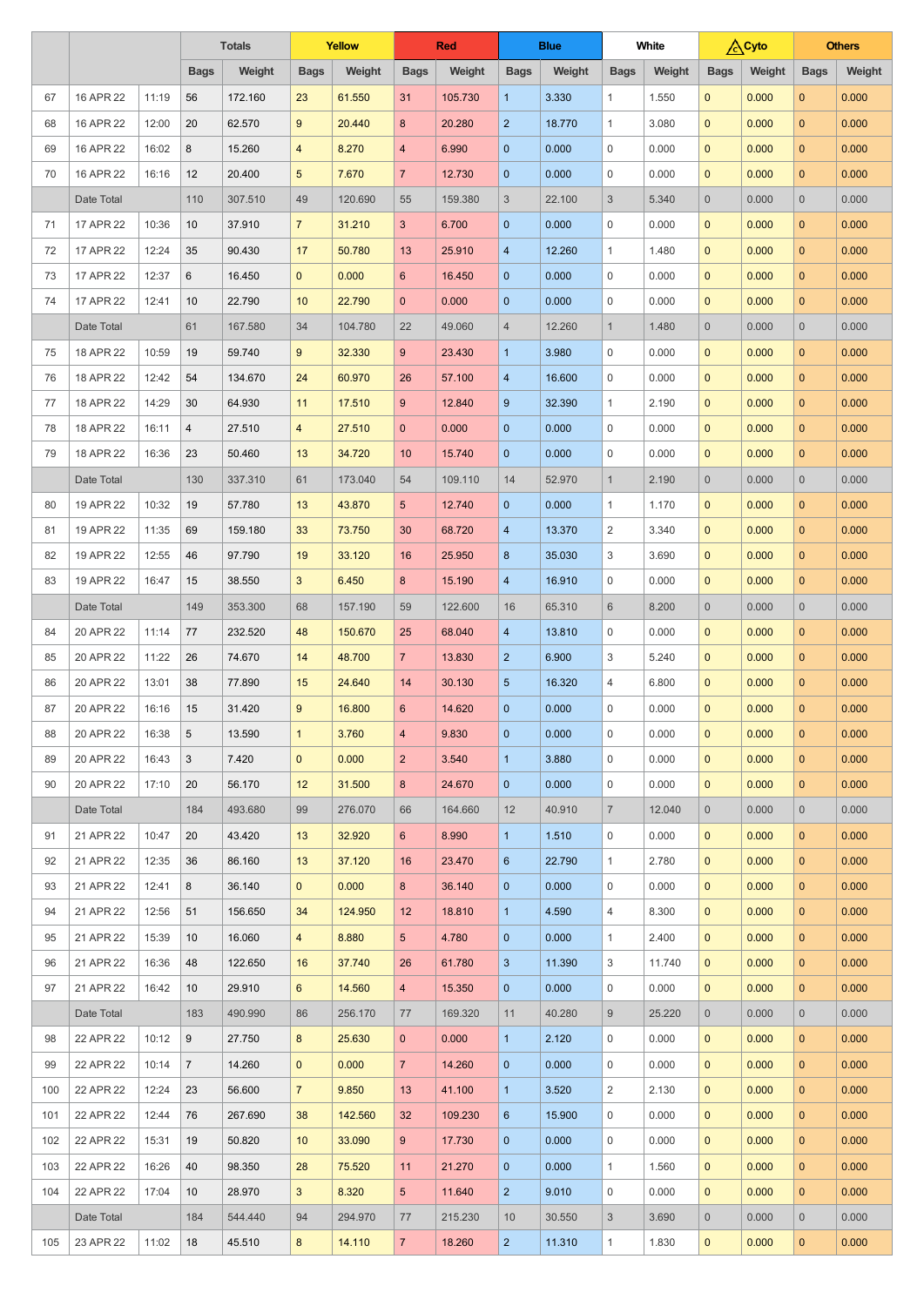|     |            |       | <b>Totals</b>  |         | <b>Yellow</b>   |         | <b>Red</b>      |         | <b>Blue</b>     |        | <b>White</b>   |        | <b>A</b> Cyto       |        |                | <b>Others</b> |
|-----|------------|-------|----------------|---------|-----------------|---------|-----------------|---------|-----------------|--------|----------------|--------|---------------------|--------|----------------|---------------|
|     |            |       | <b>Bags</b>    | Weight  | <b>Bags</b>     | Weight  | <b>Bags</b>     | Weight  | <b>Bags</b>     | Weight | <b>Bags</b>    | Weight | <b>Bags</b>         | Weight | <b>Bags</b>    | Weight        |
| 67  | 16 APR 22  | 11:19 | 56             | 172.160 | 23              | 61.550  | 31              | 105.730 | $\mathbf{1}$    | 3.330  | $\mathbf{1}$   | 1.550  | $\mathbf{0}$        | 0.000  | $\mathbf{0}$   | 0.000         |
| 68  | 16 APR 22  | 12:00 | 20             | 62.570  | 9               | 20.440  | 8               | 20.280  | $\overline{2}$  | 18.770 | 1              | 3.080  | $\mathbf{0}$        | 0.000  | $\mathbf{0}$   | 0.000         |
| 69  | 16 APR 22  | 16:02 | 8              | 15.260  | $\overline{4}$  | 8.270   | $\overline{4}$  | 6.990   | $\mathbf{0}$    | 0.000  | $\mathbf 0$    | 0.000  | $\mathbf{0}$        | 0.000  | $\overline{0}$ | 0.000         |
| 70  | 16 APR 22  | 16:16 | 12             | 20.400  | $5\overline{)}$ | 7.670   | $\overline{7}$  | 12.730  | $\overline{0}$  | 0.000  | $\mathbf 0$    | 0.000  | $\mathbf{0}$        | 0.000  | $\mathbf{0}$   | 0.000         |
|     | Date Total |       | 110            | 307.510 | 49              | 120.690 | 55              | 159.380 | $\sqrt{3}$      | 22.100 | $\mathfrak{S}$ | 5.340  | $\overline{0}$      | 0.000  | $\overline{0}$ | 0.000         |
| 71  | 17 APR 22  | 10:36 | 10             | 37.910  | $\overline{7}$  | 31.210  | $\mathbf{3}$    | 6.700   | $\mathbf{0}$    | 0.000  | $\mathbf 0$    | 0.000  | $\mathbf{0}$        | 0.000  | $\overline{0}$ | 0.000         |
| 72  | 17 APR 22  | 12:24 | 35             | 90.430  | 17              | 50.780  | 13              | 25.910  | $\overline{4}$  | 12.260 | $\mathbf{1}$   | 1.480  | $\mathbf{0}$        | 0.000  | $\mathbf{0}$   | 0.000         |
| 73  | 17 APR 22  | 12:37 | 6              | 16.450  | $\mathbf{0}$    | 0.000   | $6^{\circ}$     | 16.450  | $\mathbf{0}$    | 0.000  | $\mathbf 0$    | 0.000  | $\mathbf{0}$        | 0.000  | $\overline{0}$ | 0.000         |
| 74  | 17 APR 22  | 12:41 | 10             | 22.790  | 10              | 22.790  | $\mathbf{0}$    | 0.000   | $\mathbf{0}$    | 0.000  | $\mathbf 0$    | 0.000  | $\mathbf{0}$        | 0.000  | $\overline{0}$ | 0.000         |
|     | Date Total |       | 61             | 167.580 | 34              | 104.780 | 22              | 49.060  | $\overline{4}$  | 12.260 | $\mathbf{1}$   | 1.480  | $\overline{0}$      | 0.000  | $\overline{0}$ | 0.000         |
| 75  | 18 APR 22  | 10:59 | 19             | 59.740  | 9               | 32.330  | $9^{\circ}$     | 23.430  | $\mathbf{1}$    | 3.980  | $\mathbf 0$    | 0.000  | $\mathbf{0}$        | 0.000  | $\overline{0}$ | 0.000         |
| 76  | 18 APR 22  | 12:42 | 54             | 134.670 | 24              | 60.970  | 26              | 57.100  | $\overline{4}$  | 16.600 | $\mathbf 0$    | 0.000  | $\mathbf{0}$        | 0.000  | $\mathbf{0}$   | 0.000         |
| 77  | 18 APR 22  | 14:29 | 30             | 64.930  | 11              | 17.510  | 9               | 12.840  | 9               | 32.390 | $\mathbf{1}$   | 2.190  | $\mathbf{0}$        | 0.000  | $\overline{0}$ | 0.000         |
| 78  | 18 APR 22  | 16:11 | $\overline{4}$ | 27.510  | $\overline{4}$  | 27.510  | $\mathbf{0}$    | 0.000   | $\overline{0}$  | 0.000  | $\mathbf 0$    | 0.000  | $\mathbf{0}$        | 0.000  | $\mathbf{0}$   | 0.000         |
| 79  | 18 APR 22  | 16:36 | 23             | 50.460  | 13              | 34.720  | 10              | 15.740  | $\mathbf{0}$    | 0.000  | $\mathbf 0$    | 0.000  | $\mathbf{0}$        | 0.000  | $\overline{0}$ | 0.000         |
|     | Date Total |       | 130            | 337.310 | 61              | 173.040 | 54              | 109.110 | 14              | 52,970 | $\mathbf{1}$   | 2.190  | $\overline{0}$      | 0.000  | $\overline{0}$ | 0.000         |
| 80  | 19 APR 22  | 10:32 | 19             | 57.780  | 13              | 43.870  | $5\overline{)}$ | 12.740  | $\overline{0}$  | 0.000  | 1              | 1.170  | $\mathbf{0}$        | 0.000  | $\overline{0}$ | 0.000         |
| 81  | 19 APR 22  | 11:35 | 69             | 159.180 | 33              | 73.750  | 30              | 68.720  | $\overline{4}$  | 13.370 | 2              | 3.340  | $\pmb{0}$           | 0.000  | $\mathbf{0}$   | 0.000         |
| 82  | 19 APR 22  | 12:55 | 46             | 97.790  | 19              | 33.120  | 16              | 25.950  | 8               | 35.030 | 3              | 3.690  | $\mathbf{0}$        | 0.000  | $\mathbf{0}$   | 0.000         |
| 83  | 19 APR 22  | 16:47 | 15             | 38.550  | 3 <sup>5</sup>  | 6.450   | 8               | 15.190  | $\overline{4}$  | 16.910 | $\overline{0}$ | 0.000  | $\mathbf{0}$        | 0.000  | $\mathbf{0}$   | 0.000         |
|     | Date Total |       | 149            | 353.300 | 68              | 157.190 | 59              | 122.600 | 16              | 65.310 | 6              | 8.200  | $\overline{0}$      | 0.000  | $\overline{0}$ | 0.000         |
| 84  | 20 APR 22  | 11:14 | 77             | 232.520 | 48              | 150.670 | 25              | 68.040  | $\overline{4}$  | 13.810 | $\overline{0}$ | 0.000  | $\overline{0}$      | 0.000  | $\mathbf{0}$   | 0.000         |
| 85  | 20 APR 22  | 11:22 | 26             | 74.670  | 14              | 48.700  | 7 <sup>7</sup>  | 13.830  | 2 <sup>2</sup>  | 6.900  | 3              | 5.240  | $\mathbf 0$         | 0.000  | $\overline{0}$ | 0.000         |
| 86  | 20 APR 22  | 13:01 | 38             | 77.890  | 15              | 24.640  | 14              | 30.130  | $5\phantom{.0}$ | 16.320 | 4              | 6.800  | $\mathbf 0$         | 0.000  | $\mathbf{0}$   | 0.000         |
| 87  | 20 APR 22  | 16:16 | 15             | 31.420  | 9               | 16.800  | $6^{\circ}$     | 14.620  | $\mathbf{0}$    | 0.000  | 0              | 0.000  | $\mathbf 0$         | 0.000  | $\overline{0}$ | 0.000         |
| 88  | 20 APR 22  | 16:38 | $\overline{5}$ | 13.590  | $\mathbf 1$     | 3.760   | $\overline{4}$  | 9.830   | $\mathbf{0}$    | 0.000  | 0              | 0.000  | $\mathbf{0}$        | 0.000  | $\mathbf{0}$   | 0.000         |
| 89  | 20 APR 22  | 16:43 | 3              | 7.420   | $\mathbf{0}$    | 0.000   | 2 <sup>1</sup>  | 3.540   | $\mathbf{1}$    | 3.880  | 0              | 0.000  | $\mathbf 0$         | 0.000  | $\mathbf{0}$   | 0.000         |
| 90  | 20 APR 22  | 17:10 | 20             | 56.170  | 12              | 31.500  | 8               | 24.670  | $\mathbf{0}$    | 0.000  | $\mathbf 0$    | 0.000  | $\mathbf{0}$        | 0.000  | $\mathbf{0}$   | 0.000         |
|     | Date Total |       | 184            | 493.680 | 99              | 276.070 | 66              | 164.660 | 12              | 40.910 | $\overline{7}$ | 12.040 | $\overline{0}$      | 0.000  | $\overline{0}$ | 0.000         |
| 91  | 21 APR 22  | 10:47 | 20             | 43.420  | 13              | 32.920  | $6\overline{6}$ | 8.990   | $\mathbf{1}$    | 1.510  | $\overline{0}$ | 0.000  | $\mathbf 0$         | 0.000  | $\mathbf{0}$   | 0.000         |
| 92  | 21 APR 22  | 12:35 | 36             | 86.160  | 13              | 37.120  | 16              | 23.470  | 6               | 22.790 | $\mathbf{1}$   | 2.780  | $\mathbf{0}$        | 0.000  | $\overline{0}$ | 0.000         |
| 93  | 21 APR 22  | 12:41 | 8              | 36.140  | $\mathbf{0}$    | 0.000   | 8               | 36.140  | $\overline{0}$  | 0.000  | $\mathbf 0$    | 0.000  | $\mathbf 0$         | 0.000  | $\mathbf{0}$   | 0.000         |
| 94  | 21 APR 22  | 12:56 | 51             | 156.650 | 34              | 124.950 | 12 <sup>°</sup> | 18.810  | $\mathbf{1}$    | 4.590  | 4              | 8.300  | $\mathbf{0}$        | 0.000  | $\mathbf{0}$   | 0.000         |
| 95  | 21 APR 22  | 15:39 | 10             | 16.060  | $\overline{4}$  | 8.880   | 5 <sup>5</sup>  | 4.780   | $\mathbf{0}$    | 0.000  | 1              | 2.400  | $\mathbf 0$         | 0.000  | $\mathbf{0}$   | 0.000         |
| 96  | 21 APR 22  | 16:36 | 48             | 122.650 | 16              | 37.740  | 26              | 61.780  | $\mathbf{3}$    | 11.390 | 3              | 11.740 | $\mathbf{0}$        | 0.000  | $\mathbf{0}$   | 0.000         |
| 97  | 21 APR 22  | 16:42 | 10             | 29.910  | $6^{\circ}$     | 14.560  | $\overline{4}$  | 15.350  | $\overline{0}$  | 0.000  | $\mathbf 0$    | 0.000  | $\mathbf{0}$        | 0.000  | $\mathbf{0}$   | 0.000         |
|     | Date Total |       | 183            | 490.990 | 86              | 256.170 | 77              | 169.320 | 11              | 40.280 | 9 <sup>1</sup> | 25.220 | $\overline{0}$      | 0.000  | $\overline{0}$ | 0.000         |
| 98  | 22 APR 22  | 10:12 | 9              | 27.750  | 8               | 25.630  | $\overline{0}$  | 0.000   | $\mathbf{1}$    | 2.120  | $\overline{0}$ | 0.000  | $\overline{0}$      | 0.000  | $\overline{0}$ | 0.000         |
| 99  | 22 APR 22  | 10:14 | $\overline{7}$ | 14.260  | $\mathbf{0}$    | 0.000   | 7 <sup>7</sup>  | 14.260  | $\overline{0}$  | 0.000  | $\mathbf 0$    | 0.000  | $\overline{0}$      | 0.000  | $\overline{0}$ | 0.000         |
| 100 | 22 APR 22  | 12:24 | 23             | 56.600  | $\overline{7}$  | 9.850   | 13              | 41.100  | $\mathbf{1}$    | 3.520  | $\overline{2}$ | 2.130  | $\overline{0}$      | 0.000  | $\overline{0}$ | 0.000         |
| 101 | 22 APR 22  | 12:44 | 76             | 267.690 | 38              | 142.560 | 32              | 109.230 | $6\phantom{1}6$ | 15.900 | 0              | 0.000  | $\overline{0}$      | 0.000  | $\overline{0}$ | 0.000         |
| 102 | 22 APR 22  | 15:31 | 19             | 50.820  | 10              | 33.090  | 9               | 17.730  | $\mathbf{0}$    | 0.000  | $\overline{0}$ | 0.000  | $\overline{0}$      | 0.000  | $\mathbf{0}$   | 0.000         |
| 103 | 22 APR 22  | 16:26 | 40             | 98.350  | 28              | 75.520  | 11              | 21.270  | $\mathbf{0}$    | 0.000  | $\mathbf{1}$   | 1.560  | $\overline{0}$      | 0.000  | $\overline{0}$ | 0.000         |
| 104 | 22 APR 22  | 17:04 | 10             | 28.970  | 3 <sup>1</sup>  | 8.320   | 5 <sup>5</sup>  | 11.640  | $\overline{2}$  | 9.010  | $\overline{0}$ | 0.000  | $\overline{0}$      | 0.000  | $\overline{0}$ | 0.000         |
|     | Date Total |       | 184            | 544.440 | 94              | 294.970 | 77              | 215.230 | 10              | 30.550 | $\mathbf{3}$   | 3.690  | $\mathsf{O}\xspace$ | 0.000  | $\overline{0}$ | 0.000         |
| 105 | 23 APR 22  | 11:02 | 18             | 45.510  | 8               | 14.110  | 7 <sup>7</sup>  | 18.260  | 2 <sup>2</sup>  | 11.310 | $\mathbf{1}$   | 1.830  | $\pmb{0}$           | 0.000  | $\overline{0}$ | 0.000         |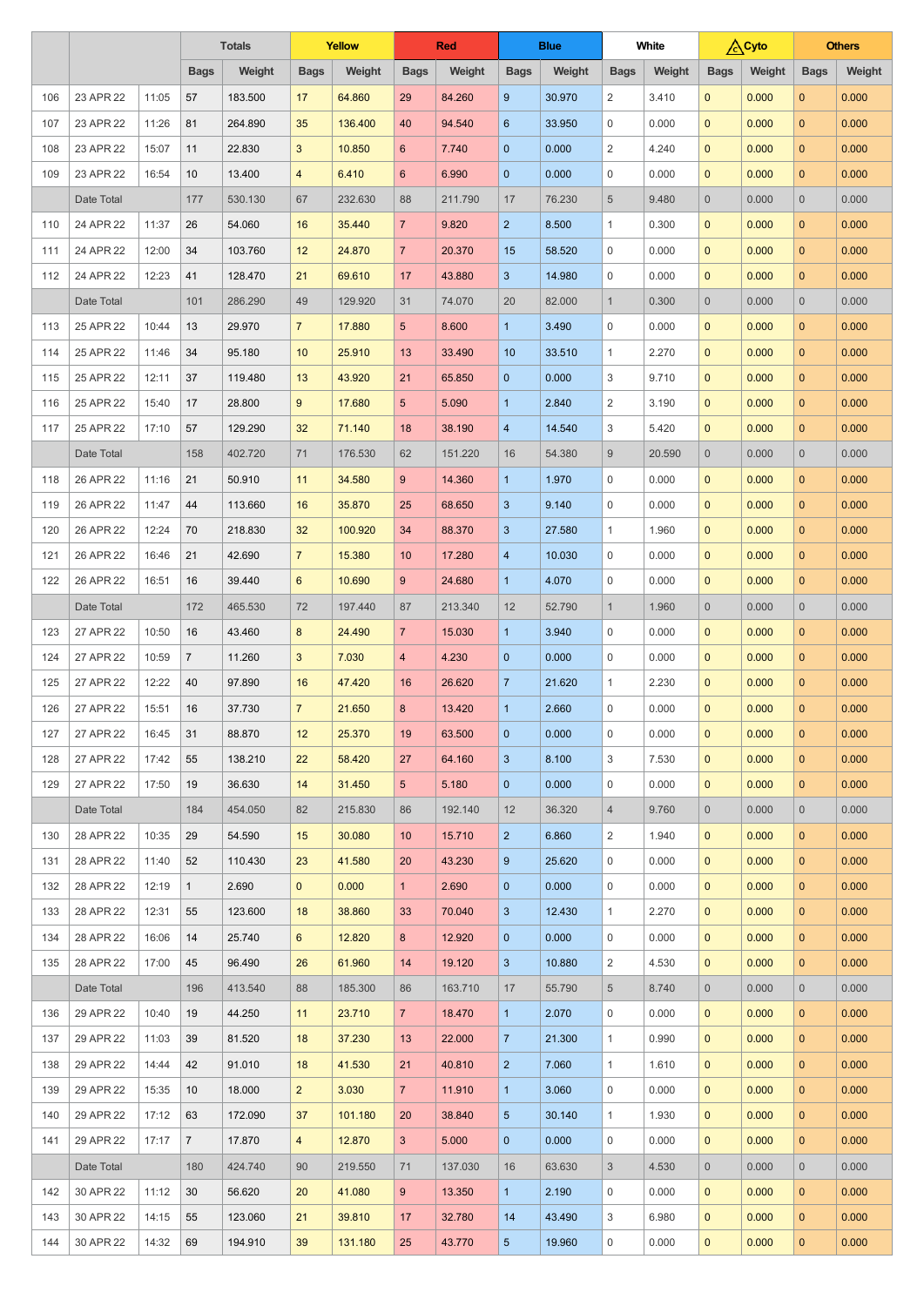|     |               |       | <b>Totals</b>  |         | <b>Yellow</b>  |         | <b>Red</b>      |         | <b>Blue</b>     |        | <b>White</b>     |        | <b>Cyto</b>    |        |                | <b>Others</b> |
|-----|---------------|-------|----------------|---------|----------------|---------|-----------------|---------|-----------------|--------|------------------|--------|----------------|--------|----------------|---------------|
|     |               |       | <b>Bags</b>    | Weight  | <b>Bags</b>    | Weight  | <b>Bags</b>     | Weight  | <b>Bags</b>     | Weight | <b>Bags</b>      | Weight | <b>Bags</b>    | Weight | <b>Bags</b>    | Weight        |
| 106 | 23 APR 22     | 11:05 | 57             | 183.500 | 17             | 64.860  | 29              | 84.260  | 9               | 30.970 | $\overline{2}$   | 3.410  | $\mathbf{0}$   | 0.000  | $\overline{0}$ | 0.000         |
| 107 | 23 APR 22     | 11:26 | 81             | 264.890 | 35             | 136.400 | 40              | 94.540  | 6               | 33.950 | $\mathbf 0$      | 0.000  | $\mathbf{0}$   | 0.000  | $\mathbf{0}$   | 0.000         |
| 108 | 23 APR 22     | 15:07 | 11             | 22.830  | 3              | 10.850  | $6\overline{6}$ | 7.740   | $\mathbf{0}$    | 0.000  | 2                | 4.240  | $\mathbf{0}$   | 0.000  | $\overline{0}$ | 0.000         |
| 109 | 23 APR 22     | 16:54 | 10             | 13.400  | $\overline{4}$ | 6.410   | $6\overline{6}$ | 6.990   | $\mathbf{0}$    | 0.000  | $\mathbf 0$      | 0.000  | $\mathbf{0}$   | 0.000  | $\mathbf{0}$   | 0.000         |
|     | Date Total    |       | 177            | 530.130 | 67             | 232.630 | 88              | 211.790 | 17              | 76.230 | $\overline{5}$   | 9.480  | $\overline{0}$ | 0.000  | $\overline{0}$ | 0.000         |
| 110 | 24 APR 22     | 11:37 | 26             | 54.060  | 16             | 35.440  | $\overline{7}$  | 9.820   | $\overline{2}$  | 8.500  | $\mathbf{1}$     | 0.300  | $\mathbf{0}$   | 0.000  | $\overline{0}$ | 0.000         |
| 111 | 24 APR 22     | 12:00 | 34             | 103.760 | 12             | 24.870  | 7 <sup>7</sup>  | 20.370  | 15              | 58.520 | $\overline{0}$   | 0.000  | $\mathbf{0}$   | 0.000  | $\mathbf{0}$   | 0.000         |
| 112 | 24 APR 22     | 12:23 | 41             | 128.470 | 21             | 69.610  | 17              | 43.880  | $\mathbf{3}$    | 14.980 | $\overline{0}$   | 0.000  | $\mathbf{0}$   | 0.000  | $\overline{0}$ | 0.000         |
|     | Date Total    |       | 101            | 286.290 | 49             | 129.920 | 31              | 74.070  | 20              | 82.000 | $\mathbf{1}$     | 0.300  | $\overline{0}$ | 0.000  | $\overline{0}$ | 0.000         |
| 113 | 25 APR 22     | 10:44 | 13             | 29.970  | $\overline{7}$ | 17.880  | 5 <sup>5</sup>  | 8.600   | $\overline{1}$  | 3.490  | $\mathbf 0$      | 0.000  | $\mathbf{0}$   | 0.000  | $\mathbf{0}$   | 0.000         |
| 114 | 25 APR 22     | 11:46 | 34             | 95.180  | 10             | 25.910  | 13              | 33.490  | 10              | 33.510 | 1                | 2.270  | $\mathbf{0}$   | 0.000  | $\overline{0}$ | 0.000         |
| 115 | 25 APR 22     | 12:11 | 37             | 119.480 | 13             | 43.920  | 21              | 65.850  | $\overline{0}$  | 0.000  | 3                | 9.710  | $\mathbf{0}$   | 0.000  | $\mathbf{0}$   | 0.000         |
| 116 | 25 APR 22     | 15:40 | 17             | 28.800  | 9              | 17.680  | 5 <sup>5</sup>  | 5.090   | $\mathbf{1}$    | 2.840  | 2                | 3.190  | $\mathbf{0}$   | 0.000  | $\overline{0}$ | 0.000         |
| 117 | 25 APR 22     | 17:10 | 57             | 129.290 | 32             | 71.140  | 18              | 38.190  | $\overline{4}$  | 14.540 | 3                | 5.420  | $\mathbf{0}$   | 0.000  | $\mathbf{0}$   | 0.000         |
|     | Date Total    |       | 158            | 402.720 | 71             | 176.530 | 62              | 151.220 | 16              | 54.380 | 9                | 20.590 | $\overline{0}$ | 0.000  | $\overline{0}$ | 0.000         |
| 118 | 26 APR 22     | 11:16 | 21             | 50.910  | 11             | 34.580  | 9               | 14.360  | $\mathbf{1}$    | 1.970  | $\mathbf 0$      | 0.000  | $\mathbf{0}$   | 0.000  | $\mathbf{0}$   | 0.000         |
| 119 | 26 APR 22     | 11:47 | 44             | 113.660 | 16             | 35.870  | 25              | 68.650  | 3               | 9.140  | $\mathbf 0$      | 0.000  | $\mathbf{0}$   | 0.000  | $\overline{0}$ | 0.000         |
| 120 | 26 APR 22     | 12:24 | 70             | 218.830 | 32             | 100.920 | 34              | 88.370  | $\mathbf{3}$    | 27.580 | 1                | 1.960  | $\pmb{0}$      | 0.000  | $\mathbf{0}$   | 0.000         |
| 121 | 26 APR 22     | 16:46 | 21             | 42.690  | $\overline{7}$ | 15.380  | 10              | 17.280  | 4               | 10.030 | $\mathbf 0$      | 0.000  | $\mathbf{0}$   | 0.000  | $\mathbf{0}$   | 0.000         |
| 122 | 26 APR 22     | 16:51 | 16             | 39.440  | $6\phantom{1}$ | 10.690  | 9               | 24.680  | $\mathbf{1}$    | 4.070  | $\mathbf 0$      | 0.000  | $\mathbf{0}$   | 0.000  | $\mathbf{0}$   | 0.000         |
|     | Date Total    |       | 172            | 465.530 | 72             | 197.440 | 87              | 213.340 | 12              | 52.790 | $\mathbf{1}$     | 1.960  | $\overline{0}$ | 0.000  | $\overline{0}$ | 0.000         |
| 123 | 27 APR 22     | 10:50 | 16             | 43.460  | 8              | 24.490  | 7 <sup>7</sup>  | 15.030  | $\overline{1}$  | 3.940  | $\overline{0}$   | 0.000  | $\overline{0}$ | 0.000  | $\overline{0}$ | 0.000         |
| 124 | 27 APR 22     | 10:59 | $\overline{7}$ | 11.260  | 3              | 7.030   | $\overline{4}$  | 4.230   | $\mathbf{0}$    | 0.000  | $\overline{0}$   | 0.000  | $\mathbf 0$    | 0.000  | $\overline{0}$ | 0.000         |
| 125 | 27 APR 22     | 12:22 | 40             | 97.890  | 16             | 47.420  | 16              | 26.620  | $\overline{7}$  | 21.620 | $\mathbf{1}$     | 2.230  | $\mathbf 0$    | 0.000  | $\mathbf{0}$   | 0.000         |
| 126 | 27 APR 22     | 15:51 | 16             | 37.730  | $\overline{7}$ | 21.650  | 8               | 13.420  | $\mathbf{1}$    | 2.660  | 0                | 0.000  | $\mathbf{0}$   | 0.000  | $\overline{0}$ | 0.000         |
| 127 | 27 APR 22     | 16:45 | 31             | 88.870  | 12             | 25.370  | 19              | 63.500  | $\overline{0}$  | 0.000  | $\mathbf 0$      | 0.000  | $\mathbf{0}$   | 0.000  | $\mathbf{0}$   | 0.000         |
| 128 | 27 APR 22     | 17:42 | 55             | 138.210 | 22             | 58.420  | 27              | 64.160  | 3               | 8.100  | 3                | 7.530  | $\mathbf{0}$   | 0.000  | $\mathbf{0}$   | 0.000         |
| 129 | 27 APR 22     | 17:50 | 19             | 36.630  | 14             | 31.450  | 5 <sup>5</sup>  | 5.180   | $\overline{0}$  | 0.000  | $\mathbf 0$      | 0.000  | $\mathbf{0}$   | 0.000  | $\mathbf{0}$   | 0.000         |
|     | Date Total    |       | 184            | 454.050 | 82             | 215.830 | 86              | 192.140 | 12              | 36.320 | $\overline{4}$   | 9.760  | $\overline{0}$ | 0.000  | $\overline{0}$ | 0.000         |
| 130 | 28 APR 22     | 10:35 | 29             | 54.590  | 15             | 30.080  | 10              | 15.710  | 2 <sup>2</sup>  | 6.860  | $\overline{2}$   | 1.940  | $\mathbf 0$    | 0.000  | $\mathbf{0}$   | 0.000         |
| 131 | 28 APR 22     | 11:40 | 52             | 110.430 | 23             | 41.580  | 20              | 43.230  | 9               | 25.620 | $\overline{0}$   | 0.000  | $\mathbf{0}$   | 0.000  | $\overline{0}$ | 0.000         |
| 132 | 28 APR 22     | 12:19 | $\mathbf{1}$   | 2.690   | $\mathbf{0}$   | 0.000   | 1 <sup>1</sup>  | 2.690   | $\mathbf{0}$    | 0.000  | $\mathbf 0$      | 0.000  | $\mathbf 0$    | 0.000  | $\mathbf{0}$   | 0.000         |
| 133 | 28 APR 22     | 12:31 | 55             | 123.600 | 18             | 38.860  | 33              | 70.040  | 3               | 12.430 | 1                | 2.270  | $\mathbf{0}$   | 0.000  | $\mathbf{0}$   | 0.000         |
| 134 | 28 APR 22     | 16:06 | 14             | 25.740  | 6              | 12.820  | 8               | 12.920  | $\overline{0}$  | 0.000  | $\mathbf 0$      | 0.000  | $\mathbf 0$    | 0.000  | $\mathbf{0}$   | 0.000         |
| 135 | 28 APR 22     | 17:00 | 45             | 96.490  | 26             | 61.960  | 14              | 19.120  | 3               | 10.880 | $\overline{2}$   | 4.530  | $\mathbf{0}$   | 0.000  | $\mathbf{0}$   | 0.000         |
|     | Date Total    |       | 196            | 413.540 | 88             | 185.300 | 86              | 163.710 | 17              | 55.790 | $\overline{5}$   | 8.740  | $\overline{0}$ | 0.000  | $\overline{0}$ | 0.000         |
|     | 136 29 APR 22 | 10:40 | 19             | 44.250  | $11 -$         | 23.710  | 7 <sup>7</sup>  | 18.470  | 1 <sup>1</sup>  | 2.070  | $\overline{0}$   | 0.000  | $\overline{0}$ | 0.000  | $\overline{0}$ | 0.000         |
| 137 | 29 APR 22     | 11:03 | 39             | 81.520  | 18             | 37.230  | 13              | 22.000  | 7 <sup>1</sup>  | 21.300 | $\mathbf{1}$     | 0.990  | $\overline{0}$ | 0.000  | $\overline{0}$ | 0.000         |
| 138 | 29 APR 22     | 14:44 | 42             | 91.010  | 18             | 41.530  | 21              | 40.810  | 2 <sup>2</sup>  | 7.060  | $\mathbf{1}$     | 1.610  | $\overline{0}$ | 0.000  | $\overline{0}$ | 0.000         |
| 139 | 29 APR 22     | 15:35 | 10             | 18.000  | 2 <sup>1</sup> | 3.030   | 7 <sup>7</sup>  | 11.910  | $\mathbf{1}$    | 3.060  | $\mathbf 0$      | 0.000  | $\overline{0}$ | 0.000  | $\overline{0}$ | 0.000         |
| 140 | 29 APR 22     | 17:12 | 63             | 172.090 | 37             | 101.180 | 20              | 38.840  | $5\phantom{.0}$ | 30.140 | 1                | 1.930  | $\overline{0}$ | 0.000  | $\overline{0}$ | 0.000         |
| 141 | 29 APR 22     | 17:17 | $\overline{7}$ | 17.870  | $\overline{4}$ | 12.870  | 3 <sup>2</sup>  | 5.000   | $\overline{0}$  | 0.000  | $\mathbf 0$      | 0.000  | $\overline{0}$ | 0.000  | $\mathbf{0}$   | 0.000         |
|     | Date Total    |       | 180            | 424.740 | 90             | 219.550 | 71              | 137.030 | 16              | 63.630 | $\mathbf{3}$     | 4.530  | $\overline{0}$ | 0.000  | $\overline{0}$ | 0.000         |
| 142 | 30 APR 22     | 11:12 | 30             | 56.620  | 20             | 41.080  | 9               | 13.350  | $\mathbf{1}$    | 2.190  | $\mathbf 0$      | 0.000  | $\overline{0}$ | 0.000  | $\overline{0}$ | 0.000         |
| 143 | 30 APR 22     | 14:15 | 55             | 123.060 | 21             | 39.810  | 17              | 32.780  | 14              | 43.490 | 3                | 6.980  | $\overline{0}$ | 0.000  | $\overline{0}$ | 0.000         |
| 144 | 30 APR 22     | 14:32 | 69             | 194.910 | 39             | 131.180 | 25              | 43.770  | $\overline{5}$  | 19.960 | $\boldsymbol{0}$ | 0.000  | $\mathbf 0$    | 0.000  | $\mathbf{0}$   | 0.000         |